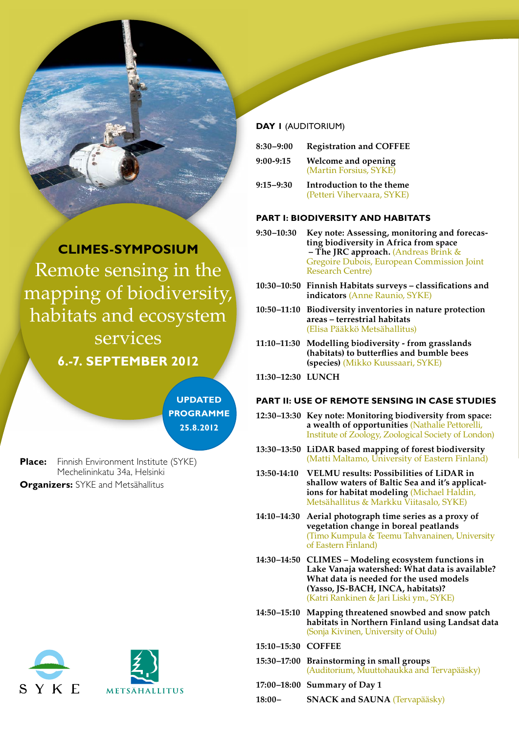

# **CLIMES-SYMPOSIUM** Remote sensing in the mapping of biodiversity, habitats and ecosystem services **6.-7. SEPTEMBER 2012**



**Place:** Finnish Environment Institute (SYKE) Mechelininkatu 34a, Helsinki **Organizers: SYKE and Metsähallitus** 



## **DAY 1** (AUDITORIUM)

| $8:30 - 9:00$ | <b>Registration and COFFEE</b> |
|---------------|--------------------------------|
| $9:00-9:15$   | Welcome and opening            |
|               | (Martin Forsius, SYKE)         |

**9:15–9:30 Introduction to the theme** (Petteri Vihervaara, SYKE)

#### **PART I: BIODIVERSITY AND HABITATS**

- **9:30–10:30 Key note: Assessing, monitoring and forecasting biodiversity in Africa from space – The JRC approach.** (Andreas Brink & Gregoire Dubois, European Commission Joint Research Centre)
- **10:30–10:50 Finnish Habitats surveys classifications and indicators** (Anne Raunio, SYKE)
- **10:50–11:10 Biodiversity inventories in nature protection areas – terrestrial habitats**  (Elisa Pääkkö Metsähallitus)
- **11:10–11:30 Modelling biodiversity from grasslands (habitats) to butterflies and bumble bees (species)** (Mikko Kuussaari, SYKE)
- **11:30–12:30 LUNCH**

### **PART II: USE OF REMOTE SENSING IN CASE STUDIES**

- **12:30–13:30 Key note: Monitoring biodiversity from space: a wealth of opportunities** (Nathalie Pettorelli, Institute of Zoology, Zoological Society of London)
- **13:30–13:50 LiDAR based mapping of forest biodiversity**  (Matti Maltamo, University of Eastern Finland)
- **13:50-14:10 VELMU results: Possibilities of LiDAR in shallow waters of Baltic Sea and it's applications for habitat modeling** (Michael Haldin, Metsähallitus & Markku Viitasalo, SYKE)
- **14:10–14:30 Aerial photograph time series as a proxy of vegetation change in boreal peatlands**  (Timo Kumpula & Teemu Tahvanainen, University of Eastern Finland)
- **14:30–14:50 CLIMES Modeling ecosystem functions in Lake Vanaja watershed: What data is available? What data is needed for the used models (Yasso, JS-BACH, INCA, habitats)?**  (Katri Rankinen & Jari Liski ym., SYKE)
- **14:50–15:10 Mapping threatened snowbed and snow patch habitats in Northern Finland using Landsat data** (Sonja Kivinen, University of Oulu)
- **15:10–15:30 COFFEE**
- **15:30–17:00 Brainstorming in small groups**  (Auditorium, Muuttohaukka and Tervapääsky)
- **17:00–18:00 Summary of Day 1**
- **18:00– SNACK and SAUNA** (Tervapääsky)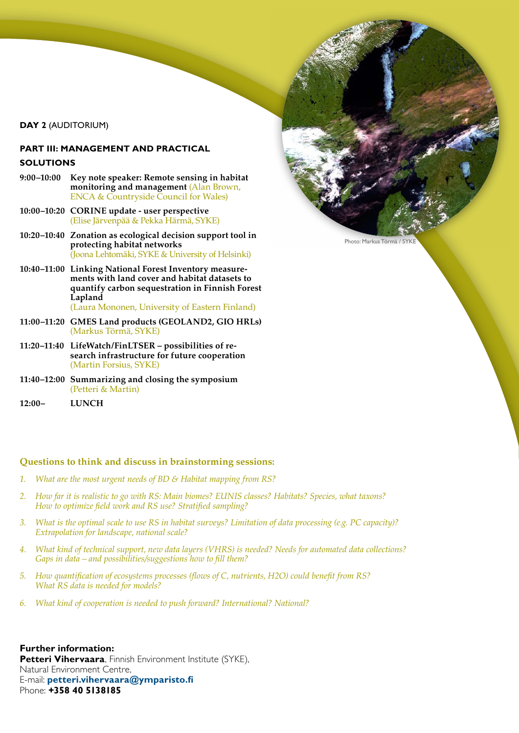**DAY 2** (AUDITORIUM)

## **PART III: MANAGEMENT AND PRACTICAL SOLUTIONS**

- **9:00–10:00 Key note speaker: Remote sensing in habitat monitoring and management** (Alan Brown, ENCA & Countryside Council for Wales)
- **10:00–10:20 CORINE update user perspective**  (Elise Järvenpää & Pekka Härmä, SYKE)
- **10:20–10:40 Zonation as ecological decision support tool in protecting habitat networks**  (Joona Lehtomäki, SYKE & University of Helsinki)
- **10:40–11:00 Linking National Forest Inventory measurements with land cover and habitat datasets to quantify carbon sequestration in Finnish Forest Lapland**  (Laura Mononen, University of Eastern Finland)
- **11:00–11:20 GMES Land products (GEOLAND2, GIO HRLs)** (Markus Törmä, SYKE)
- **11:20–11:40 LifeWatch/FinLTSER possibilities of research infrastructure for future cooperation** (Martin Forsius, SYKE)
- **11:40–12:00 Summarizing and closing the symposium**  (Petteri & Martin)
- **12:00– LUNCH**

### **Questions to think and discuss in brainstorming sessions:**

- *1. What are the most urgent needs of BD & Habitat mapping from RS?*
- *2. How far it is realistic to go with RS: Main biomes? EUNIS classes? Habitats? Species, what taxons? How to optimize field work and RS use? Stratified sampling?*
- *3. What is the optimal scale to use RS in habitat surveys? Limitation of data processing (e.g. PC capacity)? Extrapolation for landscape, national scale?*
- *4. What kind of technical support, new data layers (VHRS) is needed? Needs for automated data collections? Gaps in data – and possibilities/suggestions how to fill them?*
- *5. How quantification of ecosystems processes (flows of C, nutrients, H2O) could benefit from RS? What RS data is needed for models?*
- *6. What kind of cooperation is needed to push forward? International? National?*

**Further information: Petteri Vihervaara**, Finnish Environment Institute (SYKE), Natural Environment Centre, E-mail: **petteri.vihervaara@ymparisto.fi** Phone: **+358 40 5138185**

Photo: Markus Törmä / SYKE